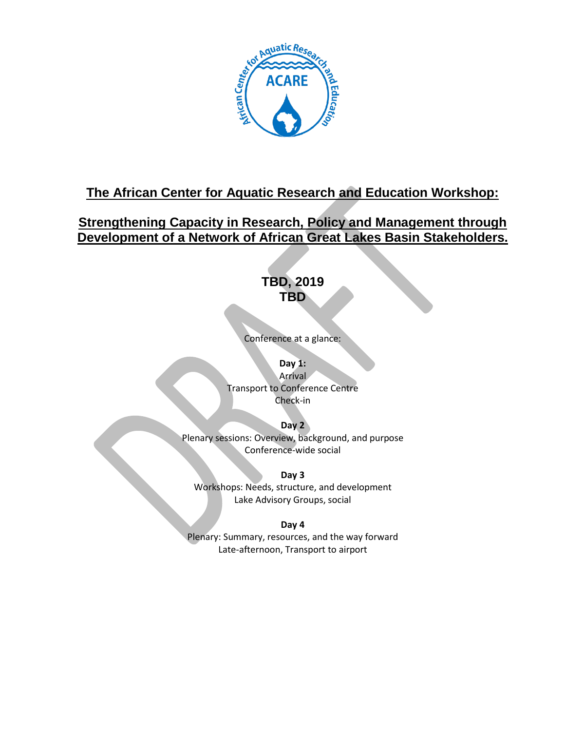

# **The African Center for Aquatic Research and Education Workshop:**

## **Strengthening Capacity in Research, Policy and Management through Development of a Network of African Great Lakes Basin Stakeholders.**

### **TBD, 2019 TBD**

Conference at a glance:

**Day 1:** Arrival Transport to Conference Centre Check-in

**Day 2** Plenary sessions: Overview, background, and purpose Conference-wide social

**Day 3** Workshops: Needs, structure, and development Lake Advisory Groups, social

**Day 4**

Plenary: Summary, resources, and the way forward Late-afternoon, Transport to airport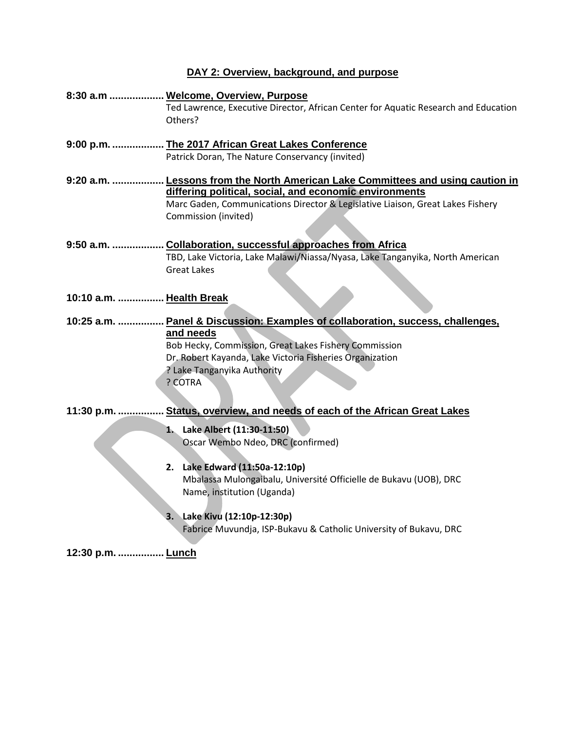#### **DAY 2: Overview, background, and purpose**

|                          | 8:30 a.m  Welcome, Overview, Purpose                                                |  |  |  |
|--------------------------|-------------------------------------------------------------------------------------|--|--|--|
|                          | Ted Lawrence, Executive Director, African Center for Aquatic Research and Education |  |  |  |
|                          | Others?                                                                             |  |  |  |
|                          |                                                                                     |  |  |  |
|                          | 9:00 p.m.  The 2017 African Great Lakes Conference                                  |  |  |  |
|                          | Patrick Doran, The Nature Conservancy (invited)                                     |  |  |  |
|                          | 9:20 a.m.  Lessons from the North American Lake Committees and using caution in     |  |  |  |
|                          | differing political, social, and economic environments                              |  |  |  |
|                          | Marc Gaden, Communications Director & Legislative Liaison, Great Lakes Fishery      |  |  |  |
|                          | Commission (invited)                                                                |  |  |  |
|                          |                                                                                     |  |  |  |
|                          | 9:50 a.m.  Collaboration, successful approaches from Africa                         |  |  |  |
|                          | TBD, Lake Victoria, Lake Malawi/Niassa/Nyasa, Lake Tanganyika, North American       |  |  |  |
|                          | <b>Great Lakes</b>                                                                  |  |  |  |
|                          |                                                                                     |  |  |  |
|                          |                                                                                     |  |  |  |
| 10:10 a.m.  Health Break |                                                                                     |  |  |  |
|                          | 10:25 a.m.  Panel & Discussion: Examples of collaboration, success, challenges,     |  |  |  |
|                          | and needs                                                                           |  |  |  |
|                          | Bob Hecky, Commission, Great Lakes Fishery Commission                               |  |  |  |
|                          | Dr. Robert Kayanda, Lake Victoria Fisheries Organization                            |  |  |  |
|                          | ? Lake Tanganyika Authority                                                         |  |  |  |
|                          | ? COTRA                                                                             |  |  |  |
|                          |                                                                                     |  |  |  |
|                          | 11:30 p.m.  Status, overview, and needs of each of the African Great Lakes          |  |  |  |
|                          |                                                                                     |  |  |  |
|                          | 1. Lake Albert (11:30-11:50)                                                        |  |  |  |
|                          | Oscar Wembo Ndeo, DRC (confirmed)                                                   |  |  |  |
|                          |                                                                                     |  |  |  |
|                          | 2. Lake Edward (11:50a-12:10p)                                                      |  |  |  |
|                          | Mbalassa Mulongaibalu, Université Officielle de Bukavu (UOB), DRC                   |  |  |  |
|                          | Name, institution (Uganda)                                                          |  |  |  |
|                          |                                                                                     |  |  |  |
|                          | Lake Kivu (12:10p-12:30p)<br>3.                                                     |  |  |  |
|                          | Fabrice Muvundja, ISP-Bukavu & Catholic University of Bukavu, DRC                   |  |  |  |
|                          |                                                                                     |  |  |  |
| 12:30 p.m.  Lunch        |                                                                                     |  |  |  |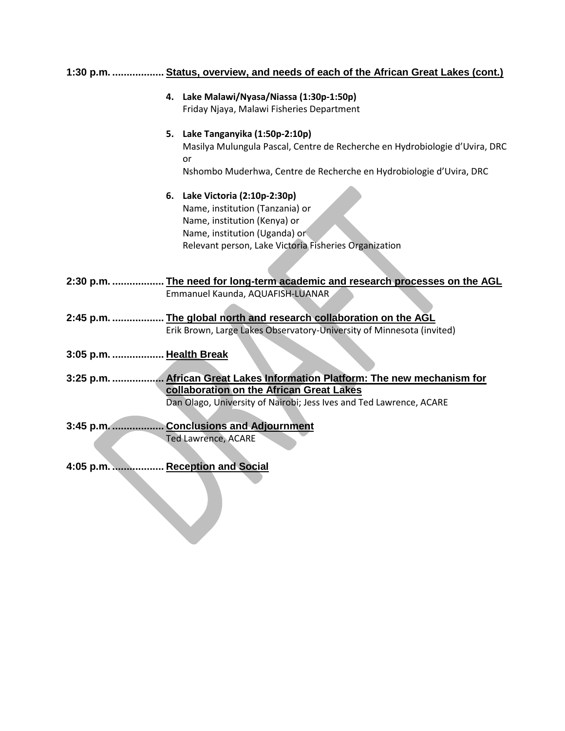|                         | 1:30 p.m.  Status, overview, and needs of each of the African Great Lakes (cont.) |  |  |
|-------------------------|-----------------------------------------------------------------------------------|--|--|
|                         | 4. Lake Malawi/Nyasa/Niassa (1:30p-1:50p)                                         |  |  |
|                         | Friday Njaya, Malawi Fisheries Department                                         |  |  |
|                         | 5. Lake Tanganyika (1:50p-2:10p)                                                  |  |  |
|                         | Masilya Mulungula Pascal, Centre de Recherche en Hydrobiologie d'Uvira, DRC<br>or |  |  |
|                         | Nshombo Muderhwa, Centre de Recherche en Hydrobiologie d'Uvira, DRC               |  |  |
|                         | 6. Lake Victoria (2:10p-2:30p)                                                    |  |  |
|                         | Name, institution (Tanzania) or                                                   |  |  |
|                         | Name, institution (Kenya) or                                                      |  |  |
|                         | Name, institution (Uganda) or                                                     |  |  |
|                         | Relevant person, Lake Victoria Fisheries Organization                             |  |  |
|                         |                                                                                   |  |  |
|                         |                                                                                   |  |  |
|                         | 2:30 p.m.  The need for long-term academic and research processes on the AGL      |  |  |
|                         | Emmanuel Kaunda, AQUAFISH-LUANAR                                                  |  |  |
|                         |                                                                                   |  |  |
|                         | 2:45 p.m.  The global north and research collaboration on the AGL                 |  |  |
|                         | Erik Brown, Large Lakes Observatory-University of Minnesota (invited)             |  |  |
| 3:05 p.m.  Health Break |                                                                                   |  |  |
|                         |                                                                                   |  |  |
|                         |                                                                                   |  |  |
|                         | collaboration on the African Great Lakes                                          |  |  |
|                         | Dan Olago, University of Nairobi; Jess Ives and Ted Lawrence, ACARE               |  |  |
|                         | 3:45 p.m.  Conclusions and Adjournment                                            |  |  |
|                         | <b>Ted Lawrence, ACARE</b>                                                        |  |  |
|                         |                                                                                   |  |  |
| 4:05 p.m.               | <b>Reception and Social</b>                                                       |  |  |
|                         |                                                                                   |  |  |
|                         |                                                                                   |  |  |
|                         |                                                                                   |  |  |
|                         |                                                                                   |  |  |
|                         |                                                                                   |  |  |
|                         |                                                                                   |  |  |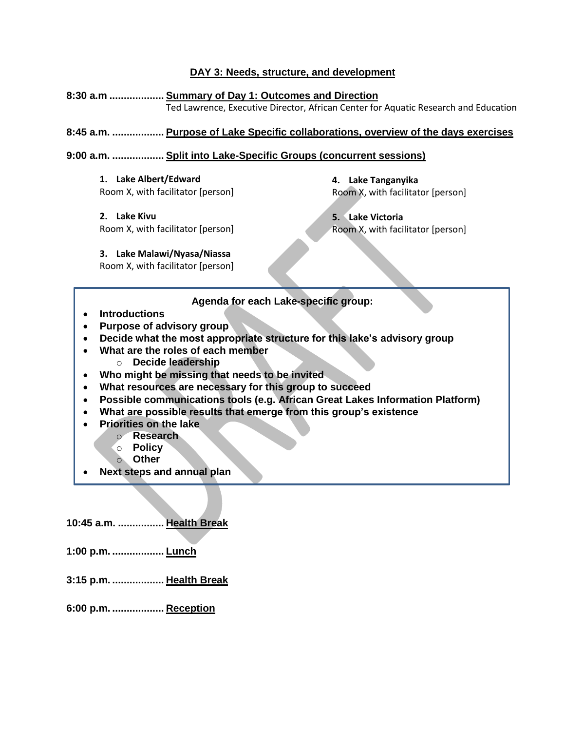#### **DAY 3: Needs, structure, and development**

| 8:30 a.m  Summary of Day 1: Outcomes and Direction<br>Ted Lawrence, Executive Director, African Center for Aquatic Research and Education                                                                                                                                                                                                                                                                                                                                                                                                                                                                                                                                                                                              |                                                                                                                  |  |  |  |  |
|----------------------------------------------------------------------------------------------------------------------------------------------------------------------------------------------------------------------------------------------------------------------------------------------------------------------------------------------------------------------------------------------------------------------------------------------------------------------------------------------------------------------------------------------------------------------------------------------------------------------------------------------------------------------------------------------------------------------------------------|------------------------------------------------------------------------------------------------------------------|--|--|--|--|
| 8:45 a.m.  Purpose of Lake Specific collaborations, overview of the days exercises                                                                                                                                                                                                                                                                                                                                                                                                                                                                                                                                                                                                                                                     |                                                                                                                  |  |  |  |  |
| 9:00 a.m.  Split into Lake-Specific Groups (concurrent sessions)                                                                                                                                                                                                                                                                                                                                                                                                                                                                                                                                                                                                                                                                       |                                                                                                                  |  |  |  |  |
| 1. Lake Albert/Edward<br>Room X, with facilitator [person]<br>2. Lake Kivu<br>Room X, with facilitator [person]                                                                                                                                                                                                                                                                                                                                                                                                                                                                                                                                                                                                                        | 4. Lake Tanganyika<br>Room X, with facilitator [person]<br>5. Lake Victoria<br>Room X, with facilitator [person] |  |  |  |  |
| 3. Lake Malawi/Nyasa/Niassa<br>Room X, with facilitator [person]                                                                                                                                                                                                                                                                                                                                                                                                                                                                                                                                                                                                                                                                       |                                                                                                                  |  |  |  |  |
| Agenda for each Lake-specific group:<br><b>Introductions</b><br>Purpose of advisory group<br>Decide what the most appropriate structure for this lake's advisory group<br>What are the roles of each member<br><b>Decide leadership</b><br>$\circ$<br>Who might be missing that needs to be invited<br>$\bullet$<br>What resources are necessary for this group to succeed<br>$\bullet$<br>Possible communications tools (e.g. African Great Lakes Information Platform)<br>$\bullet$<br>What are possible results that emerge from this group's existence<br>$\bullet$<br><b>Priorities on the lake</b><br><b>Research</b><br>$\circ$ Policy<br>o Other<br>Next steps and annual plan<br>10:45 a.m.  Health Break<br>1:00 p.m.  Lunch |                                                                                                                  |  |  |  |  |

**3:15 p.m. .................. Health Break**

**6:00 p.m. .................. Reception**